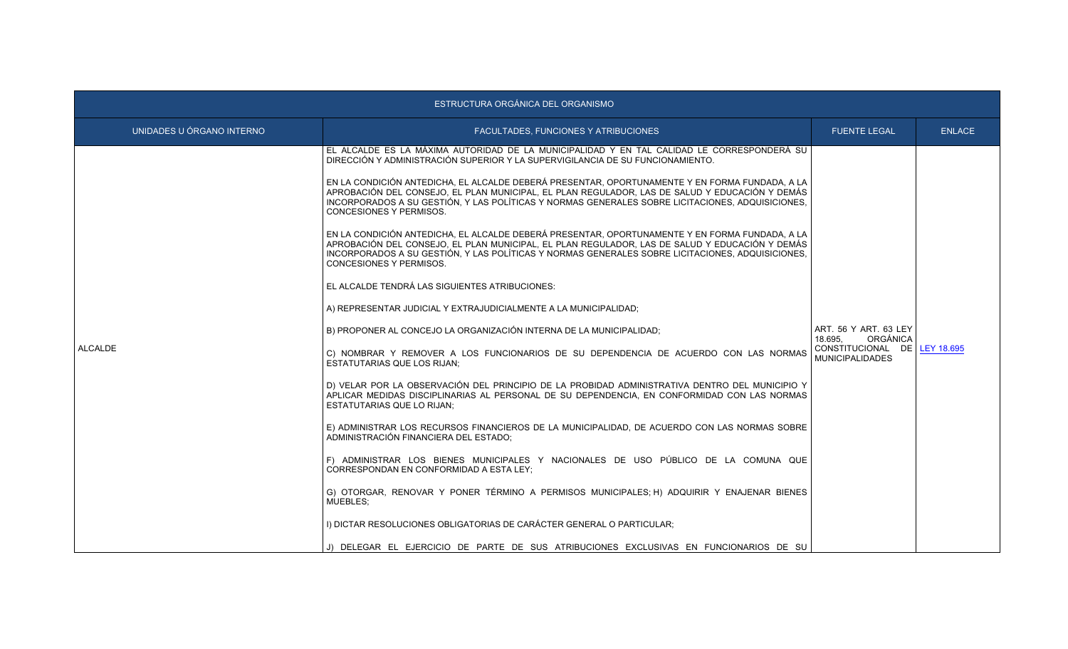| ESTRUCTURA ORGÁNICA DEL ORGANISMO |                                                                                                                                                                                                                                                                                                                                        |                                                                                                        |               |
|-----------------------------------|----------------------------------------------------------------------------------------------------------------------------------------------------------------------------------------------------------------------------------------------------------------------------------------------------------------------------------------|--------------------------------------------------------------------------------------------------------|---------------|
| UNIDADES U ÓRGANO INTERNO         | FACULTADES, FUNCIONES Y ATRIBUCIONES                                                                                                                                                                                                                                                                                                   | <b>FUENTE LEGAL</b>                                                                                    | <b>ENLACE</b> |
|                                   | EL ALCALDE ES LA MÁXIMA AUTORIDAD DE LA MUNICIPALIDAD Y EN TAL CALIDAD LE CORRESPONDERÁ SU<br>DIRECCIÓN Y ADMINISTRACIÓN SUPERIOR Y LA SUPERVIGILANCIA DE SU FUNCIONAMIENTO.<br>EN LA CONDICIÓN ANTEDICHA, EL ALCALDE DEBERÁ PRESENTAR, OPORTUNAMENTE Y EN FORMA FUNDADA, A LA                                                         | ART. 56 Y ART. 63 LEY<br>ORGÁNICA<br>18.695.<br>CONSTITUCIONAL DE LEY 18.695<br><b>MUNICIPALIDADES</b> |               |
|                                   | APROBACIÓN DEL CONSEJO, EL PLAN MUNICIPAL, EL PLAN REGULADOR, LAS DE SALUD Y EDUCACIÓN Y DEMÁS<br>INCORPORADOS A SU GESTIÓN. Y LAS POLÍTICAS Y NORMAS GENERALES SOBRE LICITACIONES. ADQUISICIONES.<br><b>CONCESIONES Y PERMISOS.</b>                                                                                                   |                                                                                                        |               |
|                                   | EN LA CONDICIÓN ANTEDICHA, EL ALCALDE DEBERÁ PRESENTAR, OPORTUNAMENTE Y EN FORMA FUNDADA, A LA<br>APROBACIÓN DEL CONSEJO, EL PLAN MUNICIPAL, EL PLAN REGULADOR, LAS DE SALUD Y EDUCACIÓN Y DEMÁS<br>INCORPORADOS A SU GESTIÓN. Y LAS POLÍTICAS Y NORMAS GENERALES SOBRE LICITACIONES. ADQUISICIONES.<br><b>CONCESIONES Y PERMISOS.</b> |                                                                                                        |               |
|                                   | EL ALCALDE TENDRÁ LAS SIGUIENTES ATRIBUCIONES:                                                                                                                                                                                                                                                                                         |                                                                                                        |               |
|                                   | A) REPRESENTAR JUDICIAL Y EXTRAJUDICIALMENTE A LA MUNICIPALIDAD;                                                                                                                                                                                                                                                                       |                                                                                                        |               |
|                                   | B) PROPONER AL CONCEJO LA ORGANIZACIÓN INTERNA DE LA MUNICIPALIDAD;                                                                                                                                                                                                                                                                    |                                                                                                        |               |
| ALCALDE                           | C) NOMBRAR Y REMOVER A LOS FUNCIONARIOS DE SU DEPENDENCIA DE ACUERDO CON LAS NORMAS<br><b>ESTATUTARIAS QUE LOS RIJAN:</b>                                                                                                                                                                                                              |                                                                                                        |               |
|                                   | D) VELAR POR LA OBSERVACIÓN DEL PRINCIPIO DE LA PROBIDAD ADMINISTRATIVA DENTRO DEL MUNICIPIO Y<br>APLICAR MEDIDAS DISCIPLINARIAS AL PERSONAL DE SU DEPENDENCIA. EN CONFORMIDAD CON LAS NORMAS<br><b>ESTATUTARIAS QUE LO RIJAN:</b>                                                                                                     |                                                                                                        |               |
|                                   | E) ADMINISTRAR LOS RECURSOS FINANCIEROS DE LA MUNICIPALIDAD, DE ACUERDO CON LAS NORMAS SOBRE<br>ADMINISTRACIÓN FINANCIERA DEL ESTADO:                                                                                                                                                                                                  |                                                                                                        |               |
|                                   | F) ADMINISTRAR LOS BIENES MUNICIPALES Y NACIONALES DE USO PÚBLICO DE LA COMUNA QUE<br>CORRESPONDAN EN CONFORMIDAD A ESTA LEY:                                                                                                                                                                                                          |                                                                                                        |               |
|                                   | G) OTORGAR, RENOVAR Y PONER TÉRMINO A PERMISOS MUNICIPALES; H) ADQUIRIR Y ENAJENAR BIENES<br>MUEBLES:                                                                                                                                                                                                                                  |                                                                                                        |               |
|                                   | I) DICTAR RESOLUCIONES OBLIGATORIAS DE CARÁCTER GENERAL O PARTICULAR:                                                                                                                                                                                                                                                                  |                                                                                                        |               |
|                                   | J) DELEGAR EL EJERCICIO DE PARTE DE SUS ATRIBUCIONES EXCLUSIVAS EN FUNCIONARIOS DE SU                                                                                                                                                                                                                                                  |                                                                                                        |               |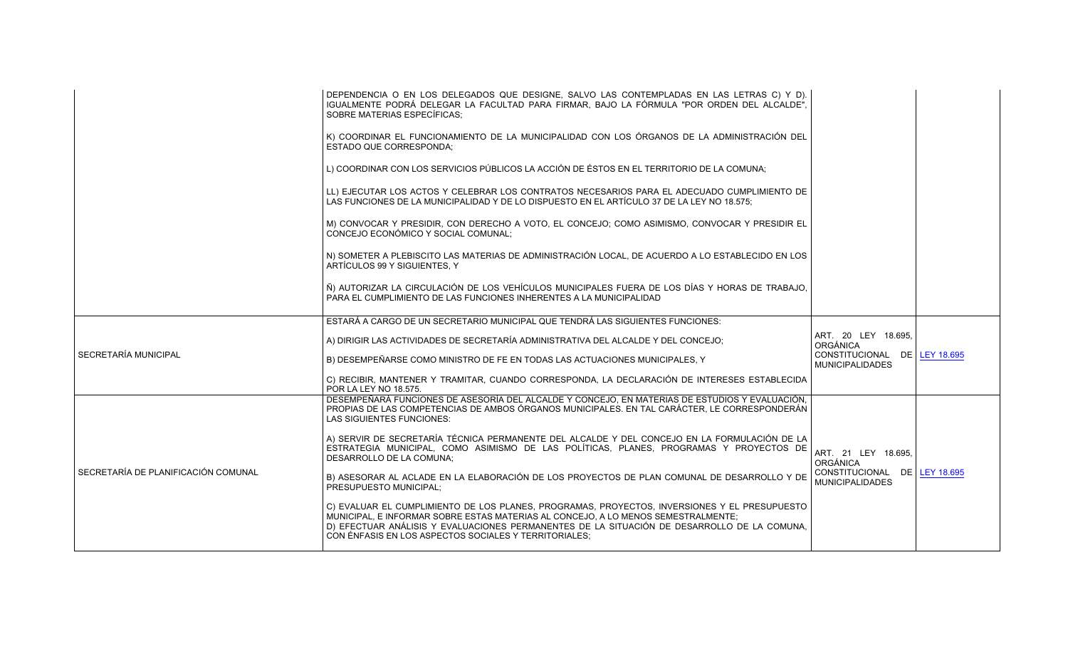|                                     | DEPENDENCIA O EN LOS DELEGADOS QUE DESIGNE, SALVO LAS CONTEMPLADAS EN LAS LETRAS C) Y D).<br>IGUALMENTE PODRÁ DELEGAR LA FACULTAD PARA FIRMAR. BAJO LA FÓRMULA "POR ORDEN DEL ALCALDE".<br>SOBRE MATERIAS ESPECÍFICAS;                                                                                                                    |                                                        |  |
|-------------------------------------|-------------------------------------------------------------------------------------------------------------------------------------------------------------------------------------------------------------------------------------------------------------------------------------------------------------------------------------------|--------------------------------------------------------|--|
|                                     | K) COORDINAR EL FUNCIONAMIENTO DE LA MUNICIPALIDAD CON LOS ÓRGANOS DE LA ADMINISTRACIÓN DEL<br><b>ESTADO QUE CORRESPONDA:</b>                                                                                                                                                                                                             |                                                        |  |
|                                     | L) COORDINAR CON LOS SERVICIOS PÚBLICOS LA ACCIÓN DE ÉSTOS EN EL TERRITORIO DE LA COMUNA:                                                                                                                                                                                                                                                 |                                                        |  |
|                                     | LL) EJECUTAR LOS ACTOS Y CELEBRAR LOS CONTRATOS NECESARIOS PARA EL ADECUADO CUMPLIMIENTO DE<br>LAS FUNCIONES DE LA MUNICIPALIDAD Y DE LO DISPUESTO EN EL ARTÍCULO 37 DE LA LEY NO 18.575;                                                                                                                                                 |                                                        |  |
|                                     | M) CONVOCAR Y PRESIDIR, CON DERECHO A VOTO, EL CONCEJO; COMO ASIMISMO, CONVOCAR Y PRESIDIR EL<br>CONCEJO ECONÓMICO Y SOCIAL COMUNAL;                                                                                                                                                                                                      |                                                        |  |
|                                     | N) SOMETER A PLEBISCITO LAS MATERIAS DE ADMINISTRACIÓN LOCAL, DE ACUERDO A LO ESTABLECIDO EN LOS<br>ARTÍCULOS 99 Y SIGUIENTES, Y                                                                                                                                                                                                          |                                                        |  |
|                                     | Ñ) AUTORIZAR LA CIRCULACIÓN DE LOS VEHÍCULOS MUNICIPALES FUERA DE LOS DÍAS Y HORAS DE TRABAJO.<br>PARA EL CUMPLIMIENTO DE LAS FUNCIONES INHERENTES A LA MUNICIPALIDAD                                                                                                                                                                     |                                                        |  |
|                                     | ESTARÁ A CARGO DE UN SECRETARIO MUNICIPAL QUE TENDRÁ LAS SIGUIENTES FUNCIONES:                                                                                                                                                                                                                                                            |                                                        |  |
|                                     | A) DIRIGIR LAS ACTIVIDADES DE SECRETARÍA ADMINISTRATIVA DEL ALCALDE Y DEL CONCEJO;                                                                                                                                                                                                                                                        | ART. 20 LEY 18.695.<br><b>ORGÁNICA</b>                 |  |
| SECRETARÍA MUNICIPAL                | B) DESEMPEÑARSE COMO MINISTRO DE FE EN TODAS LAS ACTUACIONES MUNICIPALES. Y                                                                                                                                                                                                                                                               | CONSTITUCIONAL DE LEY 18.695<br><b>MUNICIPALIDADES</b> |  |
|                                     | C) RECIBIR, MANTENER Y TRAMITAR, CUANDO CORRESPONDA, LA DECLARACIÓN DE INTERESES ESTABLECIDA<br>POR LA LEY NO 18.575.                                                                                                                                                                                                                     |                                                        |  |
|                                     | DESEMPEÑARÁ FUNCIONES DE ASESORÍA DEL ALCALDE Y CONCEJO, EN MATERIAS DE ESTUDIOS Y EVALUACIÓN,<br>PROPIAS DE LAS COMPETENCIAS DE AMBOS ÓRGANOS MUNICIPALES. EN TAL CARÁCTER, LE CORRESPONDERÁN<br><b>LAS SIGUIENTES FUNCIONES:</b>                                                                                                        |                                                        |  |
| SECRETARÍA DE PLANIFICACIÓN COMUNAL | A) SERVIR DE SECRETARÍA TÉCNICA PERMANENTE DEL ALCALDE Y DEL CONCEJO EN LA FORMULACIÓN DE LA<br>ESTRATEGIA MUNICIPAL, COMO ASIMISMO DE LAS POLÍTICAS, PLANES, PROGRAMAS Y PROYECTOS DE<br>DESARROLLO DE LA COMUNA;                                                                                                                        | ART. 21 LEY 18.695,<br>ORGÁNICA                        |  |
|                                     | B) ASESORAR AL ACLADE EN LA ELABORACIÓN DE LOS PROYECTOS DE PLAN COMUNAL DE DESARROLLO Y DE<br>PRESUPUESTO MUNICIPAL:                                                                                                                                                                                                                     | CONSTITUCIONAL DE LEY 18.695<br><b>MUNICIPALIDADES</b> |  |
|                                     | C) EVALUAR EL CUMPLIMIENTO DE LOS PLANES, PROGRAMAS, PROYECTOS, INVERSIONES Y EL PRESUPUESTO<br>MUNICIPAL, E INFORMAR SOBRE ESTAS MATERIAS AL CONCEJO, A LO MENOS SEMESTRALMENTE;<br>D) EFECTUAR ANÁLISIS Y EVALUACIONES PERMANENTES DE LA SITUACIÓN DE DESARROLLO DE LA COMUNA.<br>CON ÉNFASIS EN LOS ASPECTOS SOCIALES Y TERRITORIALES; |                                                        |  |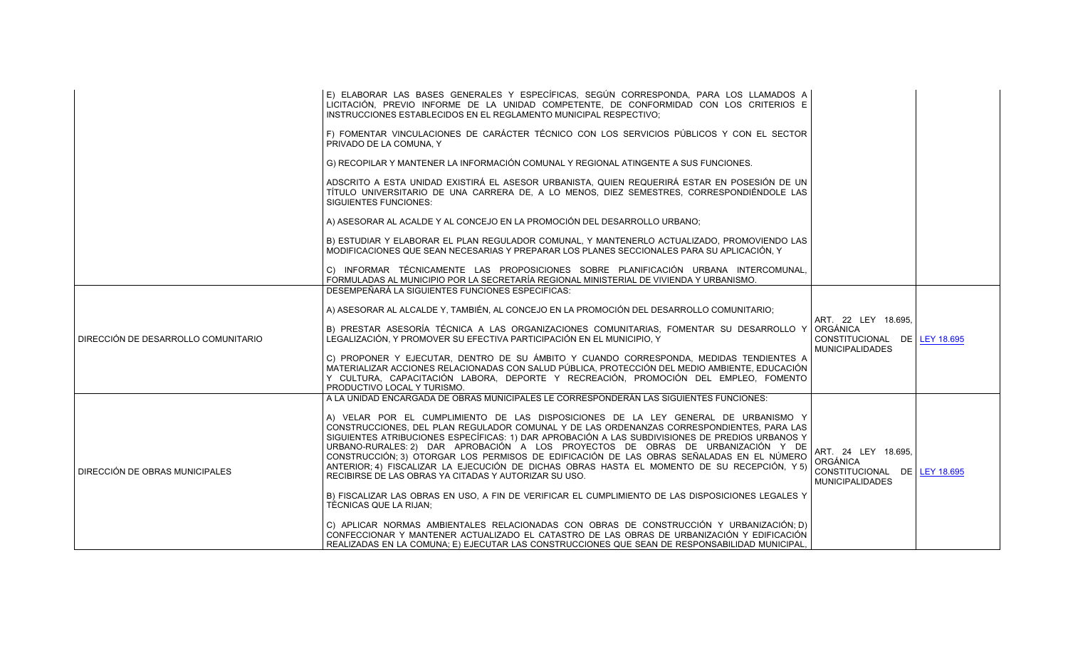|                                     | E) ELABORAR LAS BASES GENERALES Y ESPECÍFICAS, SEGÚN CORRESPONDA, PARA LOS LLAMADOS A<br>LICITACIÓN, PREVIO INFORME DE LA UNIDAD COMPETENTE, DE CONFORMIDAD CON LOS CRITERIOS E<br>INSTRUCCIONES ESTABLECIDOS EN EL REGLAMENTO MUNICIPAL RESPECTIVO;                                                                                                                                                                                                                                                                                                                                                                      |                                                                                             |  |
|-------------------------------------|---------------------------------------------------------------------------------------------------------------------------------------------------------------------------------------------------------------------------------------------------------------------------------------------------------------------------------------------------------------------------------------------------------------------------------------------------------------------------------------------------------------------------------------------------------------------------------------------------------------------------|---------------------------------------------------------------------------------------------|--|
|                                     | F) FOMENTAR VINCULACIONES DE CARÁCTER TÉCNICO CON LOS SERVICIOS PÚBLICOS Y CON EL SECTOR<br>PRIVADO DE LA COMUNA. Y                                                                                                                                                                                                                                                                                                                                                                                                                                                                                                       |                                                                                             |  |
|                                     | G) RECOPILAR Y MANTENER LA INFORMACIÓN COMUNAL Y REGIONAL ATINGENTE A SUS FUNCIONES.                                                                                                                                                                                                                                                                                                                                                                                                                                                                                                                                      |                                                                                             |  |
|                                     | ADSCRITO A ESTA UNIDAD EXISTIRÁ EL ASESOR URBANISTA, QUIEN REQUERIRÁ ESTAR EN POSESIÓN DE UN<br>TÍTULO UNIVERSITARIO DE UNA CARRERA DE, A LO MENOS, DIEZ SEMESTRES, CORRESPONDIÉNDOLE LAS<br><b>SIGUIENTES FUNCIONES:</b>                                                                                                                                                                                                                                                                                                                                                                                                 |                                                                                             |  |
|                                     | A) ASESORAR AL ACALDE Y AL CONCEJO EN LA PROMOCIÓN DEL DESARROLLO URBANO:                                                                                                                                                                                                                                                                                                                                                                                                                                                                                                                                                 |                                                                                             |  |
|                                     | B) ESTUDIAR Y ELABORAR EL PLAN REGULADOR COMUNAL, Y MANTENERLO ACTUALIZADO, PROMOVIENDO LAS<br>MODIFICACIONES QUE SEAN NECESARIAS Y PREPARAR LOS PLANES SECCIONALES PARA SU APLICACIÓN. Y                                                                                                                                                                                                                                                                                                                                                                                                                                 |                                                                                             |  |
|                                     | C) INFORMAR TÉCNICAMENTE LAS PROPOSICIONES SOBRE PLANIFICACIÓN URBANA INTERCOMUNAL,<br>FORMULADAS AL MUNICIPIO POR LA SECRETARÍA REGIONAL MINISTERIAL DE VIVIENDA Y URBANISMO.                                                                                                                                                                                                                                                                                                                                                                                                                                            |                                                                                             |  |
|                                     | DESEMPEÑARÁ LA SIGUIENTES FUNCIONES ESPECIFICAS:                                                                                                                                                                                                                                                                                                                                                                                                                                                                                                                                                                          |                                                                                             |  |
|                                     | A) ASESORAR AL ALCALDE Y, TAMBIÉN, AL CONCEJO EN LA PROMOCIÓN DEL DESARROLLO COMUNITARIO;                                                                                                                                                                                                                                                                                                                                                                                                                                                                                                                                 | ART. 22 LEY 18.695,                                                                         |  |
| DIRECCIÓN DE DESARROLLO COMUNITARIO | B) PRESTAR ASESORÍA TÉCNICA A LAS ORGANIZACIONES COMUNITARIAS, FOMENTAR SU DESARROLLO Y<br>LEGALIZACIÓN, Y PROMOVER SU EFECTIVA PARTICIPACIÓN EN EL MUNICIPIO, Y                                                                                                                                                                                                                                                                                                                                                                                                                                                          | ORGÁNICA<br>CONSTITUCIONAL DE LEY 18.695<br><b>MUNICIPALIDADES</b>                          |  |
|                                     | C) PROPONER Y EJECUTAR, DENTRO DE SU ÁMBITO Y CUANDO CORRESPONDA, MEDIDAS TENDIENTES A<br>MATERIALIZAR ACCIONES RELACIONADAS CON SALUD PÚBLICA, PROTECCIÓN DEL MEDIO AMBIENTE, EDUCACIÓN<br>Y CULTURA. CAPACITACIÓN LABORA. DEPORTE Y RECREACIÓN. PROMOCIÓN DEL EMPLEO. FOMENTO<br>PRODUCTIVO LOCAL Y TURISMO.                                                                                                                                                                                                                                                                                                            |                                                                                             |  |
|                                     | A LA UNIDAD ENCARGADA DE OBRAS MUNICIPALES LE CORRESPONDERÁN LAS SIGUIENTES FUNCIONES:                                                                                                                                                                                                                                                                                                                                                                                                                                                                                                                                    |                                                                                             |  |
| DIRECCIÓN DE OBRAS MUNICIPALES      | A) VELAR POR EL CUMPLIMIENTO DE LAS DISPOSICIONES DE LA LEY GENERAL DE URBANISMO Y<br>CONSTRUCCIONES, DEL PLAN REGULADOR COMUNAL Y DE LAS ORDENANZAS CORRESPONDIENTES, PARA LAS<br>SIGUIENTES ATRIBUCIONES ESPECÍFICAS: 1) DAR APROBACIÓN A LAS SUBDIVISIONES DE PREDIOS URBANOS Y<br>URBANO-RURALES: 2) DAR APROBACIÓN A LOS PROYECTOS DE OBRAS DE URBANIZACIÓN Y DE<br>CONSTRUCCIÓN; 3) OTORGAR LOS PERMISOS DE EDIFICACIÓN DE LAS OBRAS SEÑALADAS EN EL NÚMERO<br>ANTERIOR; 4) FISCALIZAR LA EJECUCIÓN DE DICHAS OBRAS HASTA EL MOMENTO DE SU RECEPCIÓN, Y 5)<br>RECIBIRSE DE LAS OBRAS YA CITADAS Y AUTORIZAR SU USO. | ART. 24 LEY 18.695,<br>ORGÁNICA<br>CONSTITUCIONAL DE   LEY 18.695<br><b>MUNICIPALIDADES</b> |  |
|                                     | B) FISCALIZAR LAS OBRAS EN USO, A FIN DE VERIFICAR EL CUMPLIMIENTO DE LAS DISPOSICIONES LEGALES Y<br>TÉCNICAS QUE LA RIJAN;                                                                                                                                                                                                                                                                                                                                                                                                                                                                                               |                                                                                             |  |
|                                     | C) APLICAR NORMAS AMBIENTALES RELACIONADAS CON OBRAS DE CONSTRUCCIÓN Y URBANIZACIÓN; D)<br>CONFECCIONAR Y MANTENER ACTUALIZADO EL CATASTRO DE LAS OBRAS DE URBANIZACIÓN Y EDIFICACIÓN<br>REALIZADAS EN LA COMUNA; E) EJECUTAR LAS CONSTRUCCIONES QUE SEAN DE RESPONSABILIDAD MUNICIPAL.                                                                                                                                                                                                                                                                                                                                   |                                                                                             |  |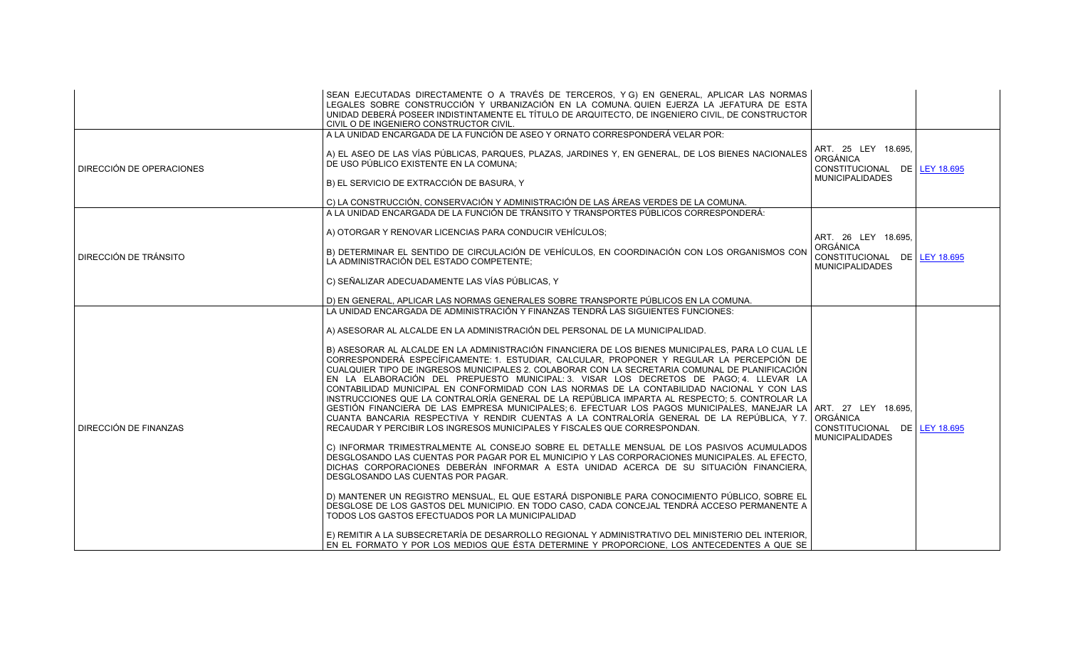|                          | SEAN EJECUTADAS DIRECTAMENTE O A TRAVÉS DE TERCEROS, Y G) EN GENERAL, APLICAR LAS NORMAS<br>LEGALES SOBRE CONSTRUCCIÓN Y URBANIZACIÓN EN LA COMUNA QUIEN EJERZA LA JEFATURA DE ESTA<br>UNIDAD DEBERÁ POSEER INDISTINTAMENTE EL TÍTULO DE ARQUITECTO. DE INGENIERO CIVIL. DE CONSTRUCTOR<br>CIVIL O DE INGENIERO CONSTRUCTOR CIVIL.                                                                                                                                                                                                                                                                                                                                                                                                                                                                                                                                                                                                                                                                                                                                                                                                                                                                                                                                                                                                                                                                                                                                                                                                                                                                                                                                                                                                                                                                                                                   |                                                                                           |  |
|--------------------------|------------------------------------------------------------------------------------------------------------------------------------------------------------------------------------------------------------------------------------------------------------------------------------------------------------------------------------------------------------------------------------------------------------------------------------------------------------------------------------------------------------------------------------------------------------------------------------------------------------------------------------------------------------------------------------------------------------------------------------------------------------------------------------------------------------------------------------------------------------------------------------------------------------------------------------------------------------------------------------------------------------------------------------------------------------------------------------------------------------------------------------------------------------------------------------------------------------------------------------------------------------------------------------------------------------------------------------------------------------------------------------------------------------------------------------------------------------------------------------------------------------------------------------------------------------------------------------------------------------------------------------------------------------------------------------------------------------------------------------------------------------------------------------------------------------------------------------------------------|-------------------------------------------------------------------------------------------|--|
| DIRECCIÓN DE OPERACIONES | A LA UNIDAD ENCARGADA DE LA FUNCIÓN DE ASEO Y ORNATO CORRESPONDERÁ VELAR POR:<br>A) EL ASEO DE LAS VÍAS PÚBLICAS, PARQUES, PLAZAS, JARDINES Y, EN GENERAL, DE LOS BIENES NACIONALES<br>DE USO PÚBLICO EXISTENTE EN LA COMUNA:<br>B) EL SERVICIO DE EXTRACCIÓN DE BASURA. Y                                                                                                                                                                                                                                                                                                                                                                                                                                                                                                                                                                                                                                                                                                                                                                                                                                                                                                                                                                                                                                                                                                                                                                                                                                                                                                                                                                                                                                                                                                                                                                           | ART. 25 LEY 18.695.<br>ORGÁNICA<br>CONSTITUCIONAL DE LEY 18.695<br><b>MUNICIPALIDADES</b> |  |
|                          | C) LA CONSTRUCCIÓN. CONSERVACIÓN Y ADMINISTRACIÓN DE LAS ÁREAS VERDES DE LA COMUNA.<br>A LA UNIDAD ENCARGADA DE LA FUNCIÓN DE TRÁNSITO Y TRANSPORTES PÚBLICOS CORRESPONDERÁ:                                                                                                                                                                                                                                                                                                                                                                                                                                                                                                                                                                                                                                                                                                                                                                                                                                                                                                                                                                                                                                                                                                                                                                                                                                                                                                                                                                                                                                                                                                                                                                                                                                                                         |                                                                                           |  |
| DIRECCIÓN DE TRÁNSITO    | A) OTORGAR Y RENOVAR LICENCIAS PARA CONDUCIR VEHÍCULOS;<br>B) DETERMINAR EL SENTIDO DE CIRCULACIÓN DE VEHÍCULOS, EN COORDINACIÓN CON LOS ORGANISMOS CON<br>LA ADMINISTRACIÓN DEL ESTADO COMPETENTE;                                                                                                                                                                                                                                                                                                                                                                                                                                                                                                                                                                                                                                                                                                                                                                                                                                                                                                                                                                                                                                                                                                                                                                                                                                                                                                                                                                                                                                                                                                                                                                                                                                                  | ART. 26 LEY 18.695.<br>ORGÁNICA<br>CONSTITUCIONAL DE LEY 18.695<br><b>MUNICIPALIDADES</b> |  |
|                          | C) SEÑALIZAR ADECUADAMENTE LAS VÍAS PÚBLICAS. Y<br>D) EN GENERAL, APLICAR LAS NORMAS GENERALES SOBRE TRANSPORTE PÚBLICOS EN LA COMUNA.                                                                                                                                                                                                                                                                                                                                                                                                                                                                                                                                                                                                                                                                                                                                                                                                                                                                                                                                                                                                                                                                                                                                                                                                                                                                                                                                                                                                                                                                                                                                                                                                                                                                                                               |                                                                                           |  |
| DIRECCIÓN DE FINANZAS    | LA UNIDAD ENCARGADA DE ADMINISTRACIÓN Y FINANZAS TENDRÁ LAS SIGUIENTES FUNCIONES:<br>A) ASESORAR AL ALCALDE EN LA ADMINISTRACIÓN DEL PERSONAL DE LA MUNICIPALIDAD.<br>B) ASESORAR AL ALCALDE EN LA ADMINISTRACIÓN FINANCIERA DE LOS BIENES MUNICIPALES, PARA LO CUAL LE<br>CORRESPONDERÁ ESPECÍFICAMENTE: 1. ESTUDIAR, CALCULAR, PROPONER Y REGULAR LA PERCEPCIÓN DE<br>CUALQUIER TIPO DE INGRESOS MUNICIPALES 2. COLABORAR CON LA SECRETARIA COMUNAL DE PLANIFICACIÓN<br>EN LA ELABORACIÓN DEL PREPUESTO MUNICIPAL: 3. VISAR LOS DECRETOS DE PAGO; 4. LLEVAR LA<br>CONTABILIDAD MUNICIPAL EN CONFORMIDAD CON LAS NORMAS DE LA CONTABILIDAD NACIONAL Y CON LAS<br>INSTRUCCIONES QUE LA CONTRALORÍA GENERAL DE LA REPÚBLICA IMPARTA AL RESPECTO: 5. CONTROLAR LA<br>GESTIÓN FINANCIERA DE LAS EMPRESA MUNICIPALES 6. EFECTUAR LOS PAGOS MUNICIPALES, MANEJAR LA ART. 27 LEY 18.695,<br>CUANTA BANCARIA RESPECTIVA Y RENDIR CUENTAS A LA CONTRALORÍA GENERAL DE LA REPÚBLICA, Y7.<br>RECAUDAR Y PERCIBIR LOS INGRESOS MUNICIPALES Y FISCALES QUE CORRESPONDAN.<br>C) INFORMAR TRIMESTRALMENTE AL CONSEJO SOBRE EL DETALLE MENSUAL DE LOS PASIVOS ACUMULADOS<br>DESGLOSANDO LAS CUENTAS POR PAGAR POR EL MUNICIPIO Y LAS CORPORACIONES MUNICIPALES. AL EFECTO,<br>DICHAS CORPORACIONES DEBERÁN INFORMAR A ESTA UNIDAD ACERCA DE SU SITUACIÓN FINANCIERA.<br>DESGLOSANDO LAS CUENTAS POR PAGAR.<br>D) MANTENER UN REGISTRO MENSUAL. EL QUE ESTARÁ DISPONIBLE PARA CONOCIMIENTO PÚBLICO. SOBRE EL<br>DESGLOSE DE LOS GASTOS DEL MUNICIPIO. EN TODO CASO, CADA CONCEJAL TENDRÁ ACCESO PERMANENTE A<br>TODOS LOS GASTOS EFECTUADOS POR LA MUNICIPALIDAD<br>E) REMITIR A LA SUBSECRETARÍA DE DESARROLLO REGIONAL Y ADMINISTRATIVO DEL MINISTERIO DEL INTERIOR.<br>EN EL FORMATO Y POR LOS MEDIOS QUE ÉSTA DETERMINE Y PROPORCIONE, LOS ANTECEDENTES A QUE SE | <b>ORGÁNICA</b><br>CONSTITUCIONAL DE LEY 18.695<br><b>MUNICIPALIDADES</b>                 |  |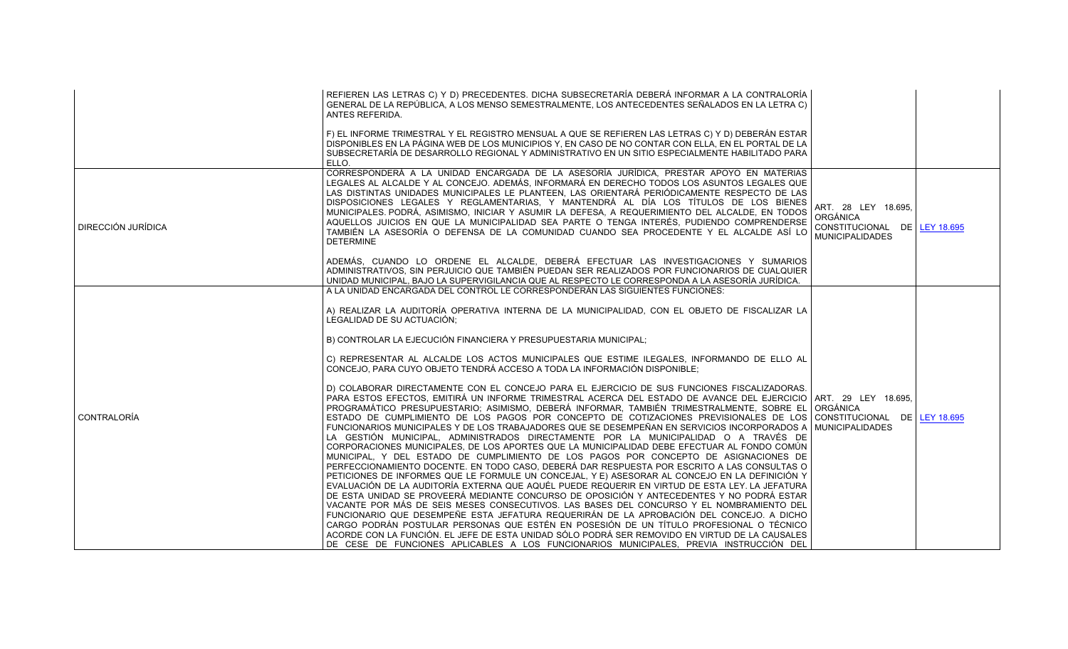|                    | REFIEREN LAS LETRAS C) Y D) PRECEDENTES. DICHA SUBSECRETARÍA DEBERÁ INFORMAR A LA CONTRALORÍA<br>GENERAL DE LA REPÚBLICA. A LOS MENSO SEMESTRALMENTE. LOS ANTECEDENTES SEÑALADOS EN LA LETRA C)<br>ANTES REFERIDA.<br>F) EL INFORME TRIMESTRAL Y EL REGISTRO MENSUAL A QUE SE REFIEREN LAS LETRAS C) Y D) DEBERÁN ESTAR<br>DISPONIBLES EN LA PÁGINA WEB DE LOS MUNICIPIOS Y, EN CASO DE NO CONTAR CON ELLA, EN EL PORTAL DE LA<br>SUBSECRETARÍA DE DESARROLLO REGIONAL Y ADMINISTRATIVO EN UN SITIO ESPECIALMENTE HABILITADO PARA<br>ELLO.                                                                                                                                                                                                                                                                                                                                                                                                                                                                                                                                                                                                                                                                                                                                                                                                                                                                                                                                                                                                                                                                                                                                                                                                                                                                                                                                                                                                                                                                                                                                                                                                                                              |                                                                                                  |  |
|--------------------|-----------------------------------------------------------------------------------------------------------------------------------------------------------------------------------------------------------------------------------------------------------------------------------------------------------------------------------------------------------------------------------------------------------------------------------------------------------------------------------------------------------------------------------------------------------------------------------------------------------------------------------------------------------------------------------------------------------------------------------------------------------------------------------------------------------------------------------------------------------------------------------------------------------------------------------------------------------------------------------------------------------------------------------------------------------------------------------------------------------------------------------------------------------------------------------------------------------------------------------------------------------------------------------------------------------------------------------------------------------------------------------------------------------------------------------------------------------------------------------------------------------------------------------------------------------------------------------------------------------------------------------------------------------------------------------------------------------------------------------------------------------------------------------------------------------------------------------------------------------------------------------------------------------------------------------------------------------------------------------------------------------------------------------------------------------------------------------------------------------------------------------------------------------------------------------------|--------------------------------------------------------------------------------------------------|--|
| DIRECCIÓN JURÍDICA | CORRESPONDERÁ A LA UNIDAD ENCARGADA DE LA ASESORÍA JURÍDICA, PRESTAR APOYO EN MATERIAS<br>LEGALES AL ALCALDE Y AL CONCEJO. ADEMÁS, INFORMARÁ EN DERECHO TODOS LOS ASUNTOS LEGALES QUE<br>LAS DISTINTAS UNIDADES MUNICIPALES LE PLANTEEN, LAS ORIENTARÁ PERIÓDICAMENTE RESPECTO DE LAS<br>DISPOSICIONES LEGALES Y REGLAMENTARIAS, Y MANTENDRÁ AL DÍA LOS TÍTULOS DE LOS BIENES<br>MUNICIPALES. PODRÁ, ASIMISMO, INICIAR Y ASUMIR LA DEFESA, A REQUERIMIENTO DEL ALCALDE, EN TODOS<br>AQUELLOS JUICIOS EN QUE LA MUNICIPALIDAD SEA PARTE O TENGA INTERÉS. PUDIENDO COMPRENDERSE<br>TAMBIÉN LA ASESORÍA O DEFENSA DE LA COMUNIDAD CUANDO SEA PROCEDENTE Y EL ALCALDE ASÍ LO<br><b>DETERMINE</b><br>ADEMÁS, CUANDO LO ORDENE EL ALCALDE, DEBERÁ EFECTUAR LAS INVESTIGACIONES Y SUMARIOS<br>ADMINISTRATIVOS, SIN PERJUICIO QUE TAMBIÉN PUEDAN SER REALIZADOS POR FUNCIONARIOS DE CUALQUIER<br>UNIDAD MUNICIPAL, BAJO LA SUPERVIGILANCIA QUE AL RESPECTO LE CORRESPONDA A LA ASESORÍA JURÍDICA.                                                                                                                                                                                                                                                                                                                                                                                                                                                                                                                                                                                                                                                                                                                                                                                                                                                                                                                                                                                                                                                                                                                                                                                               | ART. 28 LEY 18.695.<br><b>ORGÁNICA</b><br>CONSTITUCIONAL DE LEY 18.695<br><b>MUNICIPALIDADES</b> |  |
| CONTRALORÍA        | A LA UNIDAD ENCARGADA DEL CONTROL LE CORRESPONDERÁN LAS SIGUIENTES FUNCIONES:<br>A) REALIZAR LA AUDITORÍA OPERATIVA INTERNA DE LA MUNICIPALIDAD, CON EL OBJETO DE FISCALIZAR LA<br>LEGALIDAD DE SU ACTUACIÓN:<br>B) CONTROLAR LA EJECUCIÓN FINANCIERA Y PRESUPUESTARIA MUNICIPAL;<br>C) REPRESENTAR AL ALCALDE LOS ACTOS MUNICIPALES QUE ESTIME ILEGALES, INFORMANDO DE ELLO AL<br>CONCEJO. PARA CUYO OBJETO TENDRÁ ACCESO A TODA LA INFORMACIÓN DISPONIBLE:<br>D) COLABORAR DIRECTAMENTE CON EL CONCEJO PARA EL EJERCICIO DE SUS FUNCIONES FISCALIZADORAS.<br>PARA ESTOS EFECTOS, EMITIRÁ UN INFORME TRIMESTRAL ACERCA DEL ESTADO DE AVANCE DEL EJERCICIO ART. 29 LEY 18.695,<br>PROGRAMÁTICO PRESUPUESTARIO: ASIMISMO, DEBERÁ INFORMAR, TAMBIÉN TRIMESTRALMENTE, SOBRE EL ORGÁNICA<br>ESTADO DE CUMPLIMIENTO DE LOS PAGOS POR CONCEPTO DE COTIZACIONES PREVISIONALES DE LOS CONSTITUCIONAL DE LEY 18.695<br>FUNCIONARIOS MUNICIPALES Y DE LOS TRABAJADORES QUE SE DESEMPEÑAN EN SERVICIOS INCORPORADOS A MUNICIPALIDADES<br>LA GESTIÓN MUNICIPAL, ADMINISTRADOS DIRECTAMENTE POR LA MUNICIPALIDAD O A TRAVÉS DE<br>CORPORACIONES MUNICIPALES, DE LOS APORTES QUE LA MUNICIPALIDAD DEBE EFECTUAR AL FONDO COMÚN<br>MUNICIPAL, Y DEL ESTADO DE CUMPLIMIENTO DE LOS PAGOS POR CONCEPTO DE ASIGNACIONES DE<br>PERFECCIONAMIENTO DOCENTE. EN TODO CASO, DEBERÁ DAR RESPUESTA POR ESCRITO A LAS CONSULTAS O<br>PETICIONES DE INFORMES QUE LE FORMULE UN CONCEJAL, Y E) ASESORAR AL CONCEJO EN LA DEFINICIÓN Y<br>EVALUACIÓN DE LA AUDITORÍA EXTERNA QUE AQUÉL PUEDE REQUERIR EN VIRTUD DE ESTA LEY. LA JEFATURA<br>DE ESTA UNIDAD SE PROVEERÁ MEDIANTE CONCURSO DE OPOSICIÓN Y ANTECEDENTES Y NO PODRÁ ESTAR<br>VACANTE POR MÁS DE SEIS MESES CONSECUTIVOS. LAS BASES DEL CONCURSO Y EL NOMBRAMIENTO DEL<br>FUNCIONARIO QUE DESEMPEÑE ESTA JEFATURA REQUERIRÁN DE LA APROBACIÓN DEL CONCEJO. A DICHO<br>CARGO PODRÁN POSTULAR PERSONAS QUE ESTÉN EN POSESIÓN DE UN TÍTULO PROFESIONAL O TÉCNICO<br>ACORDE CON LA FUNCIÓN. EL JEFE DE ESTA UNIDAD SÓLO PODRÁ SER REMOVIDO EN VIRTUD DE LA CAUSALES<br>DE CESE DE FUNCIONES APLICABLES A LOS FUNCIONARIOS MUNICIPALES, PREVIA INSTRUCCIÓN DEL |                                                                                                  |  |